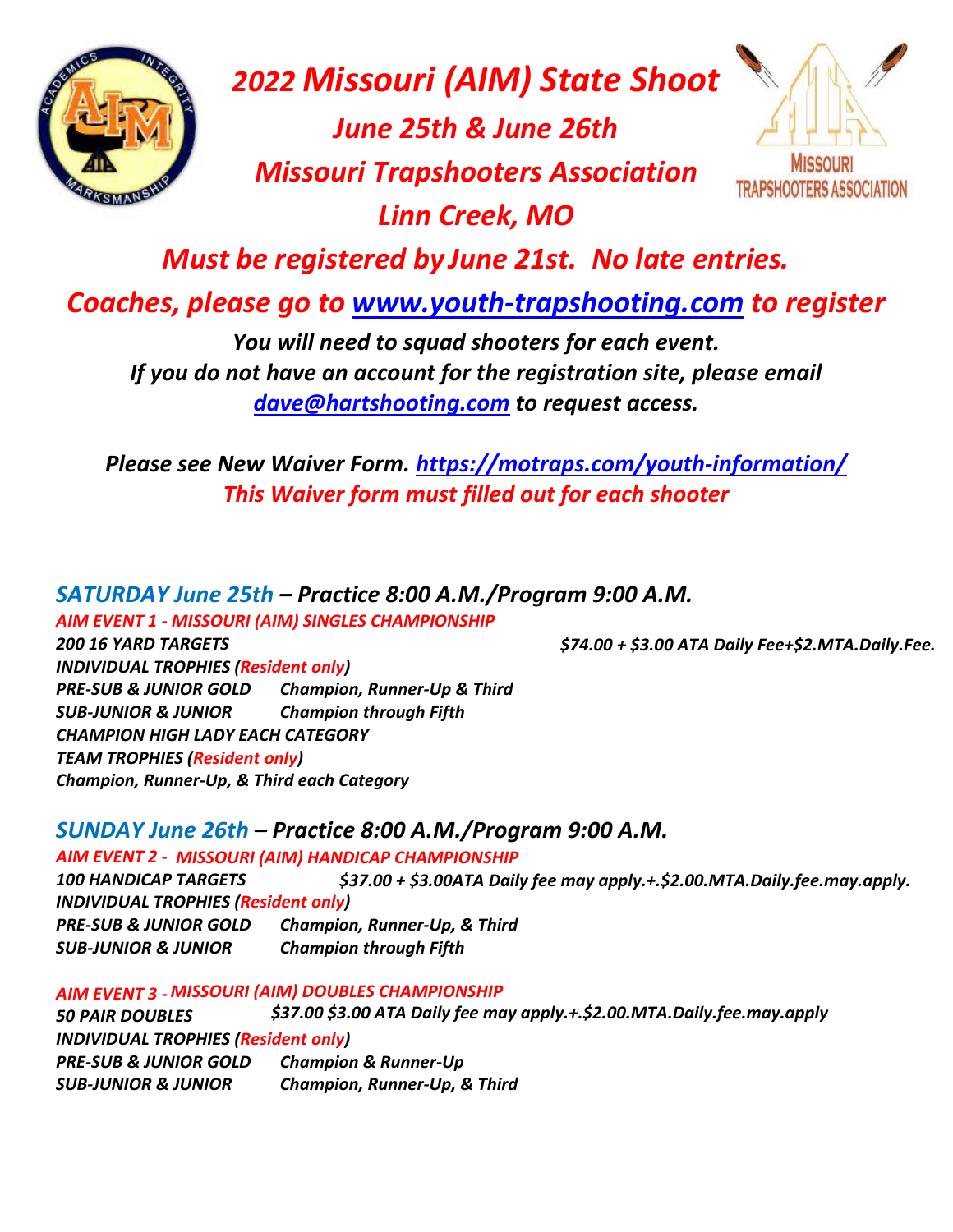

## *2022 Missouri (AIM) State Shoot*

*June 25th & June 26th Missouri Trapshooters Association Linn Creek, MO*



*Must be registered by June 21st. No late entries.*

*Coaches, please go to www.youth-trapshooting.com to register*

*You will need to squad shooters for each event. If you do not have an account for the registration site, please email dave@hartshooting.com to request access.*

*Please see New Waiver Form. https://motraps.com/youth-information/ This Waiver form must filled out for each shooter*

*SATURDAY June 25th – Practice 8:00 A.M./Program 9:00 A.M. AIM EVENT 1 - MISSOURI (AIM) SINGLES CHAMPIONSHIP 200 16 YARD TARGETS \$74.00 + \$3.00 ATA Daily Fee+\$2.MTA.Daily.Fee. INDIVIDUAL TROPHIES (Resident only) PRE-SUB & JUNIOR GOLD Champion, Runner-Up & Third SUB-JUNIOR & JUNIOR Champion through Fifth CHAMPION HIGH LADY EACH CATEGORY TEAM TROPHIES (Resident only)*

*SUNDAY June 26th – Practice 8:00 A.M./Program 9:00 A.M. AIM EVENT 2 - MISSOURI (AIM) HANDICAP CHAMPIONSHIP 100 HANDICAP TARGETS \$37.00 + \$3.00ATA Daily fee may apply.+.\$2.00.MTA.Daily.fee.may.apply. INDIVIDUAL TROPHIES (Resident only)*

*PRE-SUB & JUNIOR GOLD Champion, Runner-Up, & Third SUB-JUNIOR & JUNIOR Champion through Fifth*

*Champion, Runner-Up, & Third each Category*

*AIM EVENT 3 - MISSOURI (AIM) DOUBLES CHAMPIONSHIP*

*50 PAIR DOUBLES \$37.00 \$3.00 ATA Daily fee may apply.+.\$2.00.MTA.Daily.fee.may.apply INDIVIDUAL TROPHIES (Resident only) PRE-SUB & JUNIOR GOLD Champion & Runner-Up SUB-JUNIOR & JUNIOR Champion, Runner-Up, & Third*